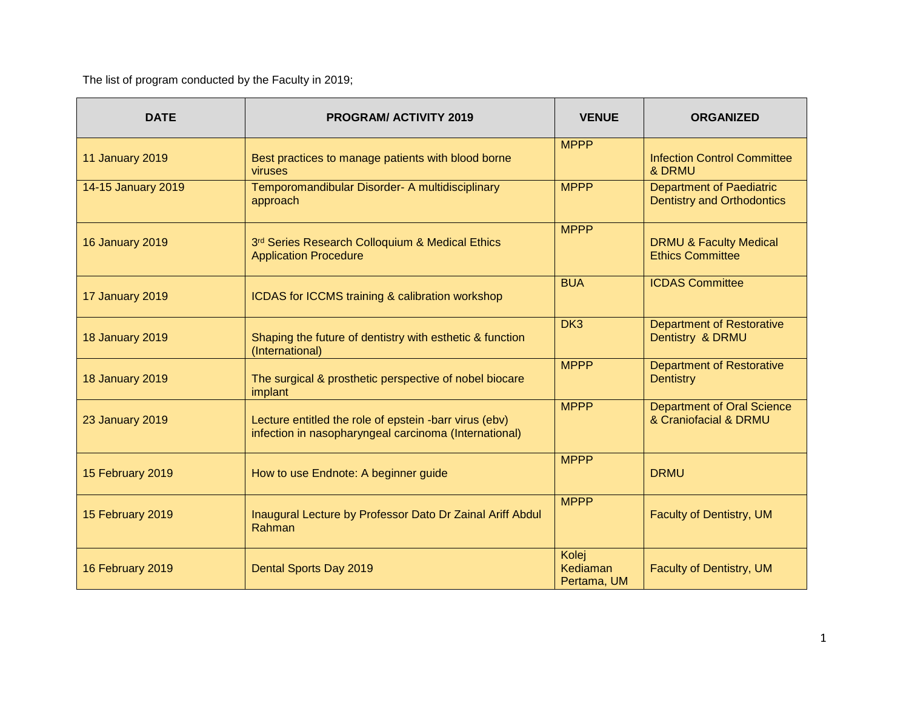The list of program conducted by the Faculty in 2019;

| <b>DATE</b>            | <b>PROGRAM/ACTIVITY 2019</b>                                                                                    | <b>VENUE</b>                     | <b>ORGANIZED</b>                                                     |
|------------------------|-----------------------------------------------------------------------------------------------------------------|----------------------------------|----------------------------------------------------------------------|
| <b>11 January 2019</b> | Best practices to manage patients with blood borne<br>viruses                                                   | <b>MPPP</b>                      | <b>Infection Control Committee</b><br>& DRMU                         |
| 14-15 January 2019     | Temporomandibular Disorder- A multidisciplinary<br>approach                                                     | <b>MPPP</b>                      | <b>Department of Paediatric</b><br><b>Dentistry and Orthodontics</b> |
| <b>16 January 2019</b> | 3rd Series Research Colloquium & Medical Ethics<br><b>Application Procedure</b>                                 | <b>MPPP</b>                      | <b>DRMU &amp; Faculty Medical</b><br><b>Ethics Committee</b>         |
| 17 January 2019        | ICDAS for ICCMS training & calibration workshop                                                                 | <b>BUA</b>                       | <b>ICDAS Committee</b>                                               |
| <b>18 January 2019</b> | Shaping the future of dentistry with esthetic & function<br>(International)                                     | DK3                              | <b>Department of Restorative</b><br>Dentistry & DRMU                 |
| <b>18 January 2019</b> | The surgical & prosthetic perspective of nobel biocare<br>implant                                               | <b>MPPP</b>                      | <b>Department of Restorative</b><br><b>Dentistry</b>                 |
| <b>23 January 2019</b> | Lecture entitled the role of epstein -barr virus (ebv)<br>infection in nasopharyngeal carcinoma (International) | <b>MPPP</b>                      | <b>Department of Oral Science</b><br>& Craniofacial & DRMU           |
| 15 February 2019       | How to use Endnote: A beginner guide                                                                            | <b>MPPP</b>                      | <b>DRMU</b>                                                          |
| 15 February 2019       | Inaugural Lecture by Professor Dato Dr Zainal Ariff Abdul<br>Rahman                                             | <b>MPPP</b>                      | <b>Faculty of Dentistry, UM</b>                                      |
| 16 February 2019       | Dental Sports Day 2019                                                                                          | Kolej<br>Kediaman<br>Pertama, UM | <b>Faculty of Dentistry, UM</b>                                      |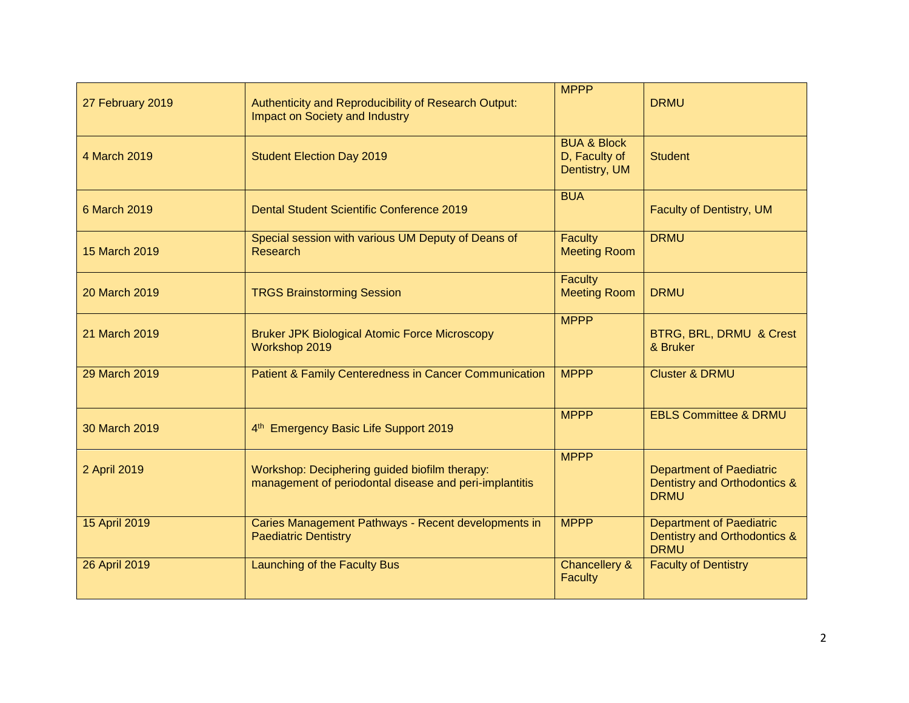| 27 February 2019     | Authenticity and Reproducibility of Research Output:<br><b>Impact on Society and Industry</b>           | <b>MPPP</b>                                              | <b>DRMU</b>                                                                    |
|----------------------|---------------------------------------------------------------------------------------------------------|----------------------------------------------------------|--------------------------------------------------------------------------------|
| 4 March 2019         | <b>Student Election Day 2019</b>                                                                        | <b>BUA &amp; Block</b><br>D, Faculty of<br>Dentistry, UM | <b>Student</b>                                                                 |
| 6 March 2019         | <b>Dental Student Scientific Conference 2019</b>                                                        | <b>BUA</b>                                               | <b>Faculty of Dentistry, UM</b>                                                |
| 15 March 2019        | Special session with various UM Deputy of Deans of<br>Research                                          | <b>Faculty</b><br><b>Meeting Room</b>                    | <b>DRMU</b>                                                                    |
| 20 March 2019        | <b>TRGS Brainstorming Session</b>                                                                       | <b>Faculty</b><br><b>Meeting Room</b>                    | <b>DRMU</b>                                                                    |
| 21 March 2019        | <b>Bruker JPK Biological Atomic Force Microscopy</b><br>Workshop 2019                                   | <b>MPPP</b>                                              | BTRG, BRL, DRMU & Crest<br>& Bruker                                            |
| <b>29 March 2019</b> | Patient & Family Centeredness in Cancer Communication                                                   | <b>MPPP</b>                                              | <b>Cluster &amp; DRMU</b>                                                      |
| 30 March 2019        | 4 <sup>th</sup> Emergency Basic Life Support 2019                                                       | <b>MPPP</b>                                              | <b>EBLS Committee &amp; DRMU</b>                                               |
| 2 April 2019         | Workshop: Deciphering guided biofilm therapy:<br>management of periodontal disease and peri-implantitis | <b>MPPP</b>                                              | <b>Department of Paediatric</b><br>Dentistry and Orthodontics &<br><b>DRMU</b> |
| 15 April 2019        | Caries Management Pathways - Recent developments in<br><b>Paediatric Dentistry</b>                      | <b>MPPP</b>                                              | <b>Department of Paediatric</b><br>Dentistry and Orthodontics &<br><b>DRMU</b> |
| 26 April 2019        | Launching of the Faculty Bus                                                                            | <b>Chancellery &amp;</b><br>Faculty                      | <b>Faculty of Dentistry</b>                                                    |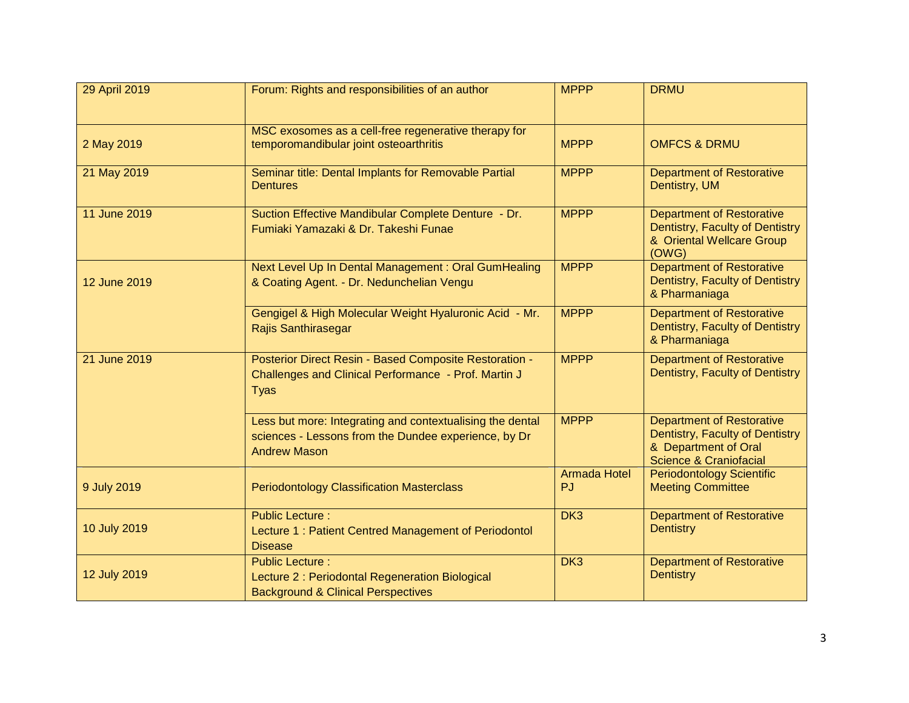| 29 April 2019 | Forum: Rights and responsibilities of an author                                                                                          | <b>MPPP</b>                      | <b>DRMU</b>                                                                                                                      |
|---------------|------------------------------------------------------------------------------------------------------------------------------------------|----------------------------------|----------------------------------------------------------------------------------------------------------------------------------|
| 2 May 2019    | MSC exosomes as a cell-free regenerative therapy for<br>temporomandibular joint osteoarthritis                                           | <b>MPPP</b>                      | <b>OMFCS &amp; DRMU</b>                                                                                                          |
| 21 May 2019   | Seminar title: Dental Implants for Removable Partial<br><b>Dentures</b>                                                                  | <b>MPPP</b>                      | <b>Department of Restorative</b><br>Dentistry, UM                                                                                |
| 11 June 2019  | Suction Effective Mandibular Complete Denture - Dr.<br>Fumiaki Yamazaki & Dr. Takeshi Funae                                              | <b>MPPP</b>                      | <b>Department of Restorative</b><br>Dentistry, Faculty of Dentistry<br>& Oriental Wellcare Group<br>(OWG)                        |
| 12 June 2019  | Next Level Up In Dental Management : Oral GumHealing<br>& Coating Agent. - Dr. Nedunchelian Vengu                                        | <b>MPPP</b>                      | <b>Department of Restorative</b><br>Dentistry, Faculty of Dentistry<br>& Pharmaniaga                                             |
|               | Gengigel & High Molecular Weight Hyaluronic Acid - Mr.<br><b>Rajis Santhirasegar</b>                                                     | <b>MPPP</b>                      | <b>Department of Restorative</b><br>Dentistry, Faculty of Dentistry<br>& Pharmaniaga                                             |
| 21 June 2019  | Posterior Direct Resin - Based Composite Restoration -<br>Challenges and Clinical Performance - Prof. Martin J<br><b>Tyas</b>            | <b>MPPP</b>                      | <b>Department of Restorative</b><br>Dentistry, Faculty of Dentistry                                                              |
|               | Less but more: Integrating and contextualising the dental<br>sciences - Lessons from the Dundee experience, by Dr<br><b>Andrew Mason</b> | <b>MPPP</b>                      | <b>Department of Restorative</b><br>Dentistry, Faculty of Dentistry<br>& Department of Oral<br><b>Science &amp; Craniofacial</b> |
| 9 July 2019   | <b>Periodontology Classification Masterclass</b>                                                                                         | <b>Armada Hotel</b><br><b>PJ</b> | <b>Periodontology Scientific</b><br><b>Meeting Committee</b>                                                                     |
| 10 July 2019  | <b>Public Lecture:</b><br>Lecture 1: Patient Centred Management of Periodontol<br><b>Disease</b>                                         | DK <sub>3</sub>                  | <b>Department of Restorative</b><br><b>Dentistry</b>                                                                             |
| 12 July 2019  | <b>Public Lecture:</b><br>Lecture 2 : Periodontal Regeneration Biological<br><b>Background &amp; Clinical Perspectives</b>               | DK <sub>3</sub>                  | <b>Department of Restorative</b><br><b>Dentistry</b>                                                                             |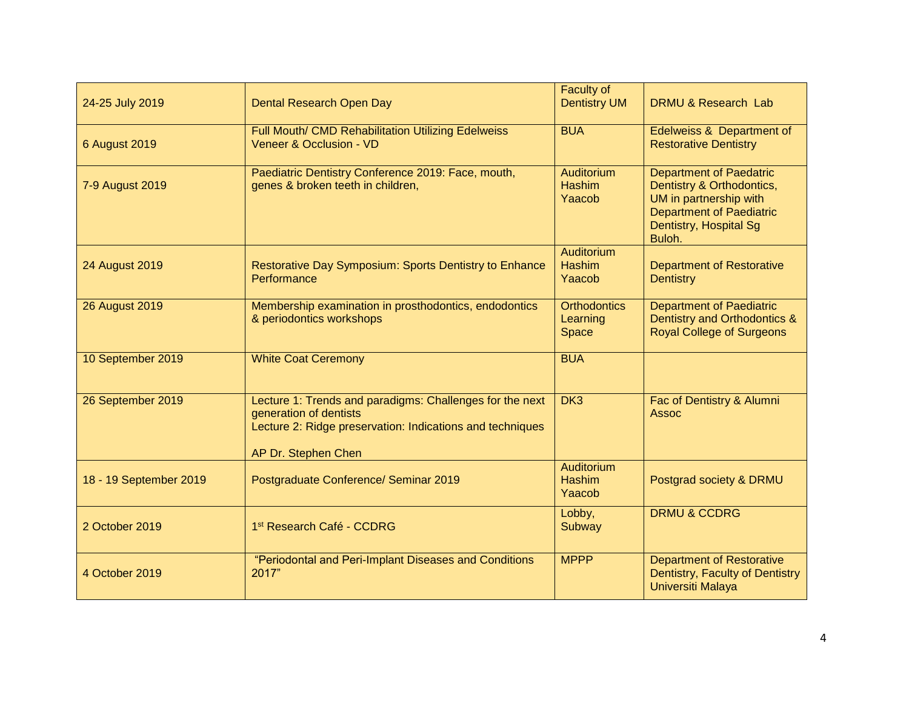| 24-25 July 2019        | <b>Dental Research Open Day</b>                                                                                                                                        | <b>Faculty of</b><br><b>Dentistry UM</b>     | DRMU & Research Lab                                                                                                                                          |
|------------------------|------------------------------------------------------------------------------------------------------------------------------------------------------------------------|----------------------------------------------|--------------------------------------------------------------------------------------------------------------------------------------------------------------|
| <b>6 August 2019</b>   | Full Mouth/ CMD Rehabilitation Utilizing Edelweiss<br>Veneer & Occlusion - VD                                                                                          | <b>BUA</b>                                   | Edelweiss & Department of<br><b>Restorative Dentistry</b>                                                                                                    |
| 7-9 August 2019        | Paediatric Dentistry Conference 2019: Face, mouth,<br>genes & broken teeth in children,                                                                                | <b>Auditorium</b><br><b>Hashim</b><br>Yaacob | <b>Department of Paedatric</b><br>Dentistry & Orthodontics,<br>UM in partnership with<br><b>Department of Paediatric</b><br>Dentistry, Hospital Sg<br>Buloh. |
| 24 August 2019         | Restorative Day Symposium: Sports Dentistry to Enhance<br>Performance                                                                                                  | Auditorium<br><b>Hashim</b><br>Yaacob        | <b>Department of Restorative</b><br><b>Dentistry</b>                                                                                                         |
| <b>26 August 2019</b>  | Membership examination in prosthodontics, endodontics<br>& periodontics workshops                                                                                      | <b>Orthodontics</b><br>Learning<br>Space     | <b>Department of Paediatric</b><br>Dentistry and Orthodontics &<br><b>Royal College of Surgeons</b>                                                          |
| 10 September 2019      | <b>White Coat Ceremony</b>                                                                                                                                             | <b>BUA</b>                                   |                                                                                                                                                              |
| 26 September 2019      | Lecture 1: Trends and paradigms: Challenges for the next<br>generation of dentists<br>Lecture 2: Ridge preservation: Indications and techniques<br>AP Dr. Stephen Chen | DK <sub>3</sub>                              | Fac of Dentistry & Alumni<br><b>Assoc</b>                                                                                                                    |
| 18 - 19 September 2019 | Postgraduate Conference/ Seminar 2019                                                                                                                                  | Auditorium<br><b>Hashim</b><br>Yaacob        | Postgrad society & DRMU                                                                                                                                      |
| 2 October 2019         | 1st Research Café - CCDRG                                                                                                                                              | Lobby,<br>Subway                             | <b>DRMU &amp; CCDRG</b>                                                                                                                                      |
| 4 October 2019         | "Periodontal and Peri-Implant Diseases and Conditions<br>2017"                                                                                                         | <b>MPPP</b>                                  | <b>Department of Restorative</b><br>Dentistry, Faculty of Dentistry<br>Universiti Malaya                                                                     |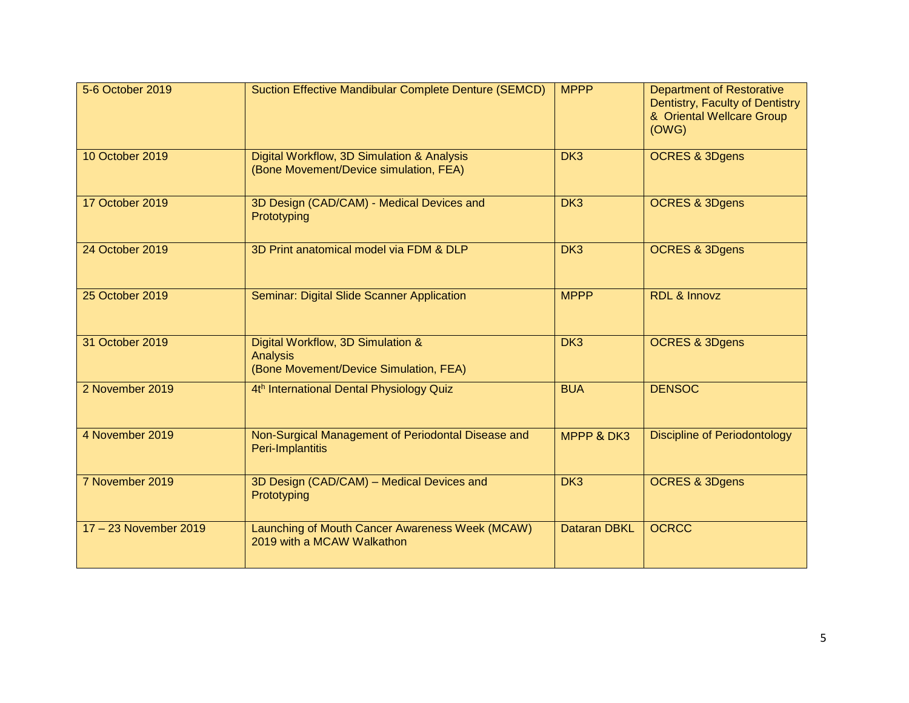| 5-6 October 2019      | <b>Suction Effective Mandibular Complete Denture (SEMCD)</b>                            | <b>MPPP</b>         | <b>Department of Restorative</b>                                      |
|-----------------------|-----------------------------------------------------------------------------------------|---------------------|-----------------------------------------------------------------------|
|                       |                                                                                         |                     | Dentistry, Faculty of Dentistry<br>& Oriental Wellcare Group<br>(OWG) |
| 10 October 2019       |                                                                                         |                     |                                                                       |
|                       | Digital Workflow, 3D Simulation & Analysis<br>(Bone Movement/Device simulation, FEA)    | DK <sub>3</sub>     | <b>OCRES &amp; 3Dgens</b>                                             |
| 17 October 2019       | 3D Design (CAD/CAM) - Medical Devices and<br>Prototyping                                | DK <sub>3</sub>     | <b>OCRES &amp; 3Dgens</b>                                             |
| 24 October 2019       | 3D Print anatomical model via FDM & DLP                                                 | DK <sub>3</sub>     | <b>OCRES &amp; 3Dgens</b>                                             |
| 25 October 2019       | Seminar: Digital Slide Scanner Application                                              | <b>MPPP</b>         | <b>RDL &amp; Innovz</b>                                               |
| 31 October 2019       | Digital Workflow, 3D Simulation &<br>Analysis<br>(Bone Movement/Device Simulation, FEA) | DK <sub>3</sub>     | <b>OCRES &amp; 3Dgens</b>                                             |
| 2 November 2019       | 4th International Dental Physiology Quiz                                                | <b>BUA</b>          | <b>DENSOC</b>                                                         |
| 4 November 2019       | Non-Surgical Management of Periodontal Disease and<br>Peri-Implantitis                  | MPPP & DK3          | <b>Discipline of Periodontology</b>                                   |
| 7 November 2019       | 3D Design (CAD/CAM) - Medical Devices and<br>Prototyping                                | DK <sub>3</sub>     | <b>OCRES &amp; 3Dgens</b>                                             |
| 17 - 23 November 2019 | Launching of Mouth Cancer Awareness Week (MCAW)<br>2019 with a MCAW Walkathon           | <b>Dataran DBKL</b> | <b>OCRCC</b>                                                          |